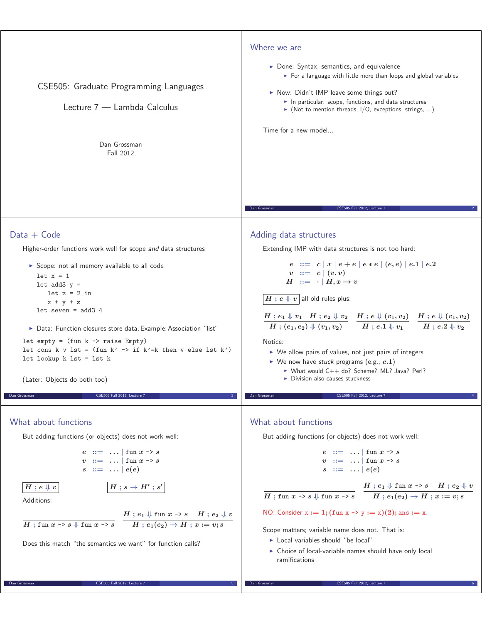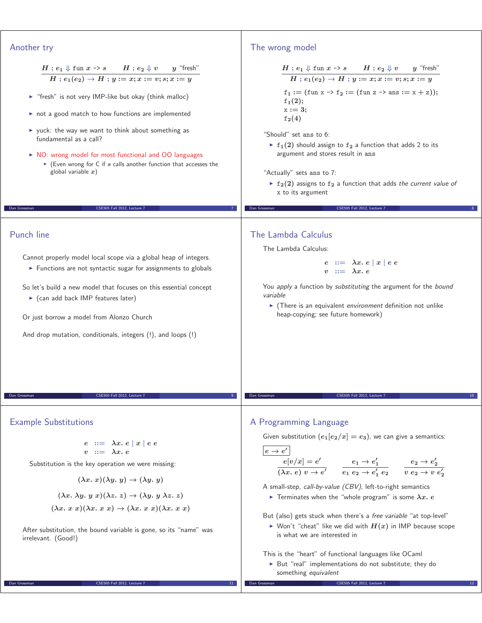| Another try                                                                                                                                                                                                                                                                                                                                                                                                                                                                                                                                                    | The wrong model                                                                                                                                                                                                                                                                                                                                                                                                                                                                                                                                                                                                                                                                                                 |
|----------------------------------------------------------------------------------------------------------------------------------------------------------------------------------------------------------------------------------------------------------------------------------------------------------------------------------------------------------------------------------------------------------------------------------------------------------------------------------------------------------------------------------------------------------------|-----------------------------------------------------------------------------------------------------------------------------------------------------------------------------------------------------------------------------------------------------------------------------------------------------------------------------------------------------------------------------------------------------------------------------------------------------------------------------------------------------------------------------------------------------------------------------------------------------------------------------------------------------------------------------------------------------------------|
| $H$ ; $e_1 \Downarrow$ fun $x \rightarrow s$ $H$ ; $e_2 \Downarrow v$ $y$ "fresh"<br>$H: e_1(e_2) \to H: y := x; x := v; s; x := y$<br>Figure "fresh" is not very IMP-like but okay (think malloc)<br>not a good match to how functions are implemented<br>▶ yuck: the way we want to think about something as<br>fundamental as a call?<br>NO: wrong model for most functional and OO languages<br>Even wrong for C if $s$ calls another function that accesses the<br>global variable $x$ )<br>CSE505 Fall 2012, Lecture 7<br>Dan Grossman<br>$\overline{7}$ | $\frac{H \; ; \; e_1 \Downarrow \mathrm{fun} \; x \to s \qquad H \; ; \; e_2 \Downarrow v \qquad y \; \; \text{``fresh''}}{H \; ; \; e_1(e_2) \to H \; ; \; y := x; x := v; s; x := y}$<br>$f_1 := (\text{fun } x \rightarrow f_2 := (\text{fun } z \rightarrow \text{ans} := x + z));$<br>$f_1(2);$<br>$x := 3;$<br>$f_{2}(4)$<br>"Should" set ans to 6:<br>$\triangleright$ f <sub>1</sub> (2) should assign to f <sub>2</sub> a function that adds 2 to its<br>argument and stores result in ans<br>"Actually" sets ans to 7:<br>$\triangleright$ f <sub>2</sub> (2) assigns to f <sub>2</sub> a function that adds the current value of<br>x to its argument<br>Dan Grossman<br>CSE505 Fall 2012. Lecture 7 |
|                                                                                                                                                                                                                                                                                                                                                                                                                                                                                                                                                                |                                                                                                                                                                                                                                                                                                                                                                                                                                                                                                                                                                                                                                                                                                                 |
| Punch line<br>Cannot properly model local scope via a global heap of integers.<br>Functions are not syntactic sugar for assignments to globals<br>So let's build a new model that focuses on this essential concept<br>$\triangleright$ (can add back IMP features later)<br>Or just borrow a model from Alonzo Church<br>And drop mutation, conditionals, integers (!), and loops (!)                                                                                                                                                                         | The Lambda Calculus<br>The Lambda Calculus:<br>$e ::= \lambda x. e   x   e e$<br>$v ::= \lambda x. e$<br>You apply a function by substituting the argument for the bound<br>variable<br>• (There is an equivalent environment definition not unlike<br>heap-copying; see future homework)                                                                                                                                                                                                                                                                                                                                                                                                                       |
| Dan Grossman<br>CSE505 Fall 2012. Lecture 7                                                                                                                                                                                                                                                                                                                                                                                                                                                                                                                    | Dan Grossman<br>CSE505 Fall 2012, Lecture 1                                                                                                                                                                                                                                                                                                                                                                                                                                                                                                                                                                                                                                                                     |
| <b>Example Substitutions</b><br>$e := \lambda x. e  x  e e$<br>$v := \lambda x. e$<br>Substitution is the key operation we were missing:<br>$(\lambda x. x)(\lambda y. y) \rightarrow (\lambda y. y)$<br>$(\lambda x. \lambda y. y x)(\lambda z. z) \rightarrow (\lambda y. y \lambda z. z)$<br>$(\lambda x. x x)(\lambda x. x x) \rightarrow (\lambda x. x x)(\lambda x. x x)$<br>After substitution, the bound variable is gone, so its "name" was<br>irrelevant. (Good!)                                                                                    | A Programming Language<br>Given substitution $(e_1[e_2/x] = e_3)$ , we can give a semantics:<br>$ e \rightarrow e'$<br>$e[v/x] = e'$ $e_1 \rightarrow e'_1$ $e_2 \rightarrow e'_1$ $e_3 \rightarrow e'_2$ $e'_2 \rightarrow e'_2$<br>A small-step, call-by-value (CBV), left-to-right semantics<br>Terminates when the "whole program" is some $\lambda x. e$<br>But (also) gets stuck when there's a free variable "at top-level"<br>Non't "cheat" like we did with $H(x)$ in IMP because scope<br>is what we are interested in<br>This is the "heart" of functional languages like OCaml<br>> But "real" implementations do not substitute; they do<br>something equivalent                                   |
|                                                                                                                                                                                                                                                                                                                                                                                                                                                                                                                                                                |                                                                                                                                                                                                                                                                                                                                                                                                                                                                                                                                                                                                                                                                                                                 |

Τ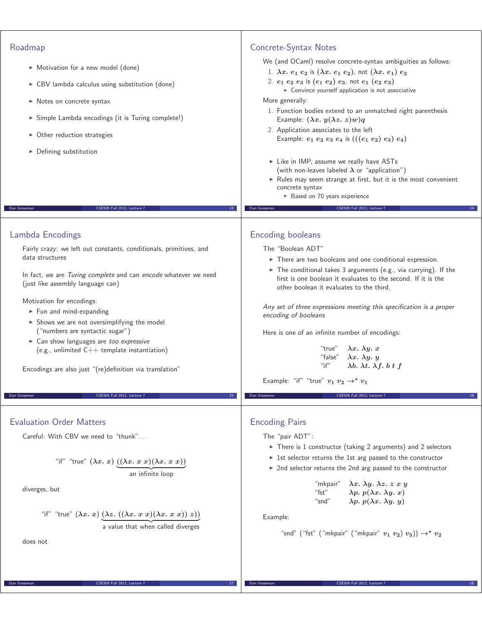| Roadmap                                                                                              | Concrete-Syntax Notes                                                                                                                                                                        |
|------------------------------------------------------------------------------------------------------|----------------------------------------------------------------------------------------------------------------------------------------------------------------------------------------------|
| Motivation for a new model (done)                                                                    | We (and OCaml) resolve concrete-syntax ambiguities as follows:<br>1. $\lambda x. e_1 e_2$ is $(\lambda x. e_1 e_2)$ , not $(\lambda x. e_1) e_2$                                             |
| ▶ CBV lambda calculus using substitution (done)                                                      | 2. $e_1$ $e_2$ $e_3$ is $(e_1$ $e_2)$ $e_3$ , not $e_1$ $(e_2$ $e_3)$                                                                                                                        |
| $\triangleright$ Notes on concrete syntax                                                            | • Convince yourself application is not associative<br>More generally:                                                                                                                        |
|                                                                                                      | 1. Function bodies extend to an unmatched right parenthesis                                                                                                                                  |
| > Simple Lambda encodings (it is Turing complete!)                                                   | Example: $(\lambda x. y(\lambda z. z) w) q$<br>2. Application associates to the left                                                                                                         |
| • Other reduction strategies                                                                         | Example: $e_1 e_2 e_3 e_4$ is $(((e_1 e_2) e_3) e_4)$                                                                                                                                        |
| • Defining substitution                                                                              |                                                                                                                                                                                              |
|                                                                                                      | Like in IMP, assume we really have ASTs<br>(with non-leaves labeled $\lambda$ or "application")                                                                                              |
|                                                                                                      | Rules may seem strange at first, but it is the most convenient<br>concrete syntax                                                                                                            |
|                                                                                                      | Based on 70 years experience                                                                                                                                                                 |
| Dan Grossman<br>CSE505 Fall 2012, Lecture 7<br>$13-$                                                 | CSE505 Fall 2012, Lecture 7<br>Dan Grossman<br>14                                                                                                                                            |
| Lambda Encodings                                                                                     | <b>Encoding booleans</b>                                                                                                                                                                     |
| Fairly crazy: we left out constants, conditionals, primitives, and                                   | The "Boolean ADT"                                                                                                                                                                            |
| data structures                                                                                      | $\triangleright$ There are two booleans and one conditional expression.                                                                                                                      |
| In fact, we are Turing complete and can encode whatever we need<br>(just like assembly language can) | $\triangleright$ The conditional takes 3 arguments (e.g., via currying). If the<br>first is one boolean it evaluates to the second. If it is the<br>other boolean it evaluates to the third. |
| Motivation for encodings:                                                                            |                                                                                                                                                                                              |
| $\blacktriangleright$ Fun and mind-expanding                                                         | Any set of three expressions meeting this specification is a proper<br>encoding of booleans                                                                                                  |
| > Shows we are not oversimplifying the model<br>("numbers are syntactic sugar")                      |                                                                                                                                                                                              |
| $\triangleright$ Can show languages are too expressive                                               | Here is one of an infinite number of encodings:                                                                                                                                              |
| (e.g., unlimited $C++$ template instantiation)                                                       | "true"<br>$\lambda x. \lambda y. x$<br>"false" $\lambda x. \lambda y. y$                                                                                                                     |
| Encodings are also just "(re)definition via translation"                                             | $"$ if"<br>$\lambda b. \lambda t. \lambda f. b t f$                                                                                                                                          |
|                                                                                                      | Example: "if" "true" $v_1$ $v_2 \rightarrow^* v_1$                                                                                                                                           |
| Dan Grossman<br>CSE505 Fall 2012, Lecture<br>15                                                      | Dan Grossman<br>CSE505 Fall 2012, Lecture 7<br>16                                                                                                                                            |
| <b>Evaluation Order Matters</b>                                                                      | <b>Encoding Pairs</b>                                                                                                                                                                        |
| Careful: With CBV we need to "thunk"                                                                 | The "pair ADT":                                                                                                                                                                              |
|                                                                                                      | $\triangleright$ There is 1 constructor (taking 2 arguments) and 2 selectors                                                                                                                 |
|                                                                                                      | Ist selector returns the 1st arg passed to the constructor                                                                                                                                   |
| "if" "true" $(\lambda x. x)$ $((\lambda x. x x)(\lambda x. x x))$<br>an infinite loop                | > 2nd selector returns the 2nd arg passed to the constructor                                                                                                                                 |
| diverges, but                                                                                        | "mkpair"<br>$\lambda x. \lambda y. \lambda z. z x y$<br>$\lambda p. p(\lambda x. \lambda y. x)$<br>"fst"<br>$\lambda p. p(\lambda x. \lambda y. y)$<br>"snd"                                 |
| "if" "true" $(\lambda x. x)$ $(\lambda z. ((\lambda x. x x)(\lambda x. x x)) z))$                    |                                                                                                                                                                                              |
| a value that when called diverges                                                                    | Example:                                                                                                                                                                                     |
| does not                                                                                             | "snd" ("fst" ("mkpair" ("mkpair" $v_1$ $v_2$ ) $v_3$ )) $\rightarrow^*$ $v_2$                                                                                                                |
|                                                                                                      |                                                                                                                                                                                              |
|                                                                                                      |                                                                                                                                                                                              |
| Dan Grossman<br>CSE505 Fall 2012, Lecture 7<br>17                                                    | Dan Grossman<br>CSE505 Fall 2012, Lecture 7<br>18                                                                                                                                            |
|                                                                                                      |                                                                                                                                                                                              |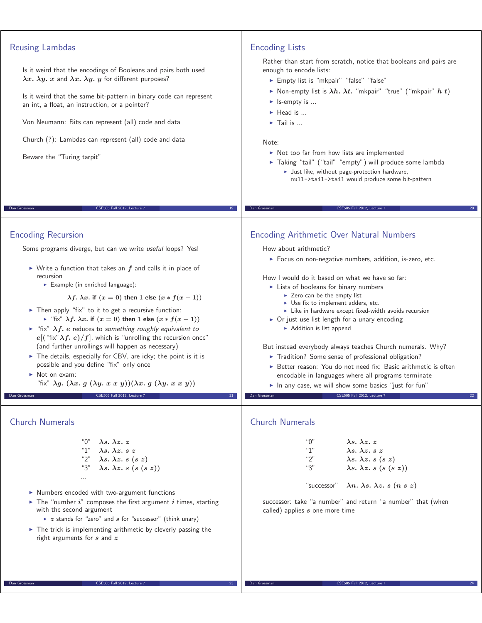| <b>Reusing Lambdas</b><br>Is it weird that the encodings of Booleans and pairs both used<br>$\lambda x. \lambda y. x$ and $\lambda x. \lambda y. y$ for different purposes?<br>Is it weird that the same bit-pattern in binary code can represent<br>an int, a float, an instruction, or a pointer?<br>Von Neumann: Bits can represent (all) code and data                                                                                                                                                                                                                                                                                                                                                                                                                                                                                                                                                                                    | <b>Encoding Lists</b><br>Rather than start from scratch, notice that booleans and pairs are<br>enough to encode lists:<br>Empty list is "mkpair" "false" "false"<br>Non-empty list is $\lambda h$ . $\lambda t$ . "mkpair" "true" ("mkpair" h t)<br>$\blacktriangleright$ Is-empty is<br>$\blacktriangleright$ Head is<br>$\blacktriangleright$ Tail is                                                                                                                                                                                                                                                                                                                                                                                                                                                                     |
|-----------------------------------------------------------------------------------------------------------------------------------------------------------------------------------------------------------------------------------------------------------------------------------------------------------------------------------------------------------------------------------------------------------------------------------------------------------------------------------------------------------------------------------------------------------------------------------------------------------------------------------------------------------------------------------------------------------------------------------------------------------------------------------------------------------------------------------------------------------------------------------------------------------------------------------------------|-----------------------------------------------------------------------------------------------------------------------------------------------------------------------------------------------------------------------------------------------------------------------------------------------------------------------------------------------------------------------------------------------------------------------------------------------------------------------------------------------------------------------------------------------------------------------------------------------------------------------------------------------------------------------------------------------------------------------------------------------------------------------------------------------------------------------------|
| Church (?): Lambdas can represent (all) code and data<br>Beware the "Turing tarpit"                                                                                                                                                                                                                                                                                                                                                                                                                                                                                                                                                                                                                                                                                                                                                                                                                                                           | Note:<br>Not too far from how lists are implemented<br>Taking "tail" ("tail" "empty") will produce some lambda<br>It Just like, without page-protection hardware,<br>null->tail->tail would produce some bit-pattern                                                                                                                                                                                                                                                                                                                                                                                                                                                                                                                                                                                                        |
| Dan Grossman<br>CSE505 Fall 2012, Lecture 7<br>19                                                                                                                                                                                                                                                                                                                                                                                                                                                                                                                                                                                                                                                                                                                                                                                                                                                                                             | Dan Grossman<br>CSE505 Fall 2012, Lecture 7                                                                                                                                                                                                                                                                                                                                                                                                                                                                                                                                                                                                                                                                                                                                                                                 |
| <b>Encoding Recursion</b><br>Some programs diverge, but can we write useful loops? Yes!<br>$\triangleright$ Write a function that takes an $f$ and calls it in place of<br>recursion<br>Example (in enriched language):<br>$\lambda f$ . $\lambda x$ . if $(x = 0)$ then 1 else $(x * f(x - 1))$<br>Then apply "fix" to it to get a recursive function:<br>► "fix" $\lambda f$ . $\lambda x$ . if $(x = 0)$ then 1 else $(x * f(x - 1))$<br>Fix" $\lambda f$ . e reduces to something roughly equivalent to<br>$e[(\text{``fix''}\lambda f.\ e)/f]$ , which is "unrolling the recursion once"<br>(and further unrollings will happen as necessary)<br>The details, especially for CBV, are icky; the point is it is<br>possible and you define "fix" only once<br>$\triangleright$ Not on exam:<br>"fix" $\lambda g. (\lambda x. g (\lambda y. x x y))(\lambda x. g (\lambda y. x x y))$<br>Dan Grossman<br>CSE505 Fall 2012, Lecture 7<br>21 | <b>Encoding Arithmetic Over Natural Numbers</b><br>How about arithmetic?<br>> Focus on non-negative numbers, addition, is-zero, etc.<br>How I would do it based on what we have so far:<br>Lists of booleans for binary numbers<br>$\triangleright$ Zero can be the empty list<br>$\triangleright$ Use fix to implement adders, etc.<br>Like in hardware except fixed-width avoids recursion<br>• Or just use list length for a unary encoding<br>Addition is list append<br>But instead everybody always teaches Church numerals. Why?<br>Tradition? Some sense of professional obligation?<br>Better reason: You do not need fix: Basic arithmetic is often<br>encodable in languages where all programs terminate<br>In any case, we will show some basics "just for fun"<br>CSE505 Fall 2012, Lecture 7<br>Dan Grossman |
| <b>Church Numerals</b><br>"0"<br>$\lambda s. \lambda z. z$<br>"1"<br>$\lambda s$ . $\lambda z$ . $s z$<br>"2"<br>$\lambda s. \lambda z. s (s z)$<br>"3"<br>$\lambda s. \lambda z. s (s (s z))$<br>$\cdots$<br>• Numbers encoded with two-argument functions<br>The "number $i$ " composes the first argument $i$ times, starting<br>with the second argument<br>$\triangleright$ z stands for "zero" and s for "successor" (think unary)<br>$\triangleright$ The trick is implementing arithmetic by cleverly passing the<br>right arguments for $s$ and $z$                                                                                                                                                                                                                                                                                                                                                                                  | <b>Church Numerals</b><br>"0"<br>$\lambda$ s. $\lambda$ z. z<br>"1"<br>$\lambda s$ . $\lambda z$ . $s z$<br>"2"<br>$\lambda s. \lambda z. s (s z)$<br>"3"<br>$\lambda s. \lambda z. s (s (s z))$<br>$\lambda n. \lambda s. \lambda z. s (n s z)$<br>"successor"<br>successor: take "a number" and return "a number" that (when<br>called) applies s one more time                                                                                                                                                                                                                                                                                                                                                                                                                                                           |